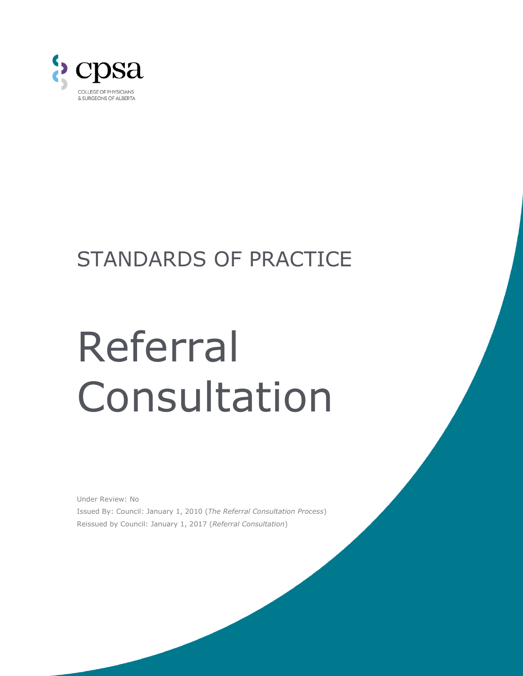

## STANDARDS OF PRACTICE

# Referral Consultation

Under Review: No Issued By: Council: January 1, 2010 (*The Referral Consultation Process*) Reissued by Council: January 1, 2017 (*Referral Consultation*)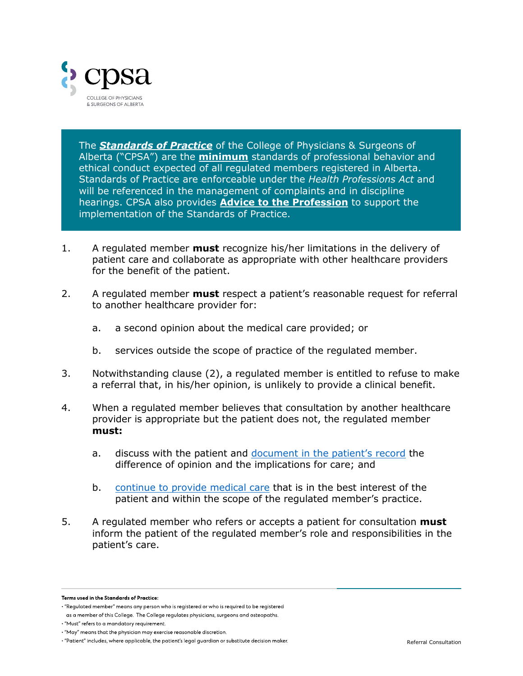

The *Standards of Practice* of the College of Physicians & Surgeons of Alberta ("CPSA") are the **minimum** standards of professional behavior and ethical conduct expected of all regulated members registered in Alberta. Standards of Practice are enforceable under the *Health Professions Act* and will be referenced in the management of complaints and in discipline hearings. CPSA also provides **Advice to the Profession** to support the implementation of the Standards of Practice.

- 1. A regulated member **must** recognize his/her limitations in the delivery of patient care and collaborate as appropriate with other healthcare providers for the benefit of the patient.
- 2. A regulated member **must** respect a patient's reasonable request for referral to another healthcare provider for:
	- a. a second opinion about the medical care provided; or
	- b. services outside the scope of practice of the regulated member.
- 3. Notwithstanding clause (2), a regulated member is entitled to refuse to make a referral that, in his/her opinion, is unlikely to provide a clinical benefit.
- 4. When a regulated member believes that consultation by another healthcare provider is appropriate but the patient does not, the regulated member **must:**
	- a. discuss with the patient and [document in the patient's record](https://cpsa.ca/physicians/standards-of-practice/patient-record-content/) the difference of opinion and the implications for care; and
	- b. [continue to provide medical care](https://policybase.cma.ca/documents/policypdf/PD19-03.pdf) that is in the best interest of the patient and within the scope of the regulated member's practice.
- 5. A regulated member who refers or accepts a patient for consultation **must**  inform the patient of the regulated member's role and responsibilities in the patient's care.

Terms used in the Standards of Practice:

<sup>· &</sup>quot;Regulated member" means any person who is registered or who is required to be registered

as a member of this College. The College regulates physicians, surgeons and osteopaths.

<sup>· &</sup>quot;Must" refers to a mandatory requirement.

<sup>• &</sup>quot;May" means that the physician may exercise reasonable discretion.

<sup>. &</sup>quot;Patient" includes, where applicable, the patient's legal quardian or substitute decision maker.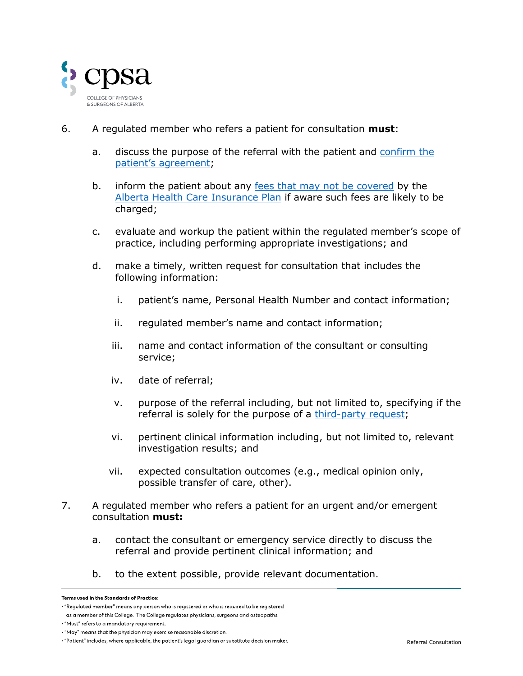

- 6. A regulated member who refers a patient for consultation **must**:
	- a. discuss the purpose of the referral with the patient and [confirm the](https://cpsa.ca/physicians/standards-of-practice/informed-consent/)  [patient's agreement](https://cpsa.ca/physicians/standards-of-practice/informed-consent/);
	- b. inform the patient about any [fees that may not be covered](https://cpsa.ca/physicians/standards-of-practice/charging-for-uninsured-professional-services/) by the [Alberta Health Care Insurance Plan](https://www.alberta.ca/ahcip-what-is-covered.aspx) if aware such fees are likely to be charged;
	- c. evaluate and workup the patient within the regulated member's scope of practice, including performing appropriate investigations; and
	- d. make a timely, written request for consultation that includes the following information:
		- i. patient's name, Personal Health Number and contact information;
		- ii. regulated member's name and contact information;
		- iii. name and contact information of the consultant or consulting service;
		- iv. date of referral;
		- v. purpose of the referral including, but not limited to, specifying if the referral is solely for the purpose of a [third-party request;](https://cpsa.ca/physicians/standards-of-practice/responding-to-third-party-requests/)
		- vi. pertinent clinical information including, but not limited to, relevant investigation results; and
		- vii. expected consultation outcomes (e.g., medical opinion only, possible transfer of care, other).
- 7. A regulated member who refers a patient for an urgent and/or emergent consultation **must:**
	- a. contact the consultant or emergency service directly to discuss the referral and provide pertinent clinical information; and
	- b. to the extent possible, provide relevant documentation.

Terms used in the Standards of Practice:

<sup>· &</sup>quot;Regulated member" means any person who is registered or who is required to be registered

as a member of this College. The College regulates physicians, surgeons and osteopaths.

<sup>· &</sup>quot;Must" refers to a mandatory requirement.

<sup>• &</sup>quot;May" means that the physician may exercise reasonable discretion.

<sup>. &</sup>quot;Patient" includes, where applicable, the patient's legal quardian or substitute decision maker.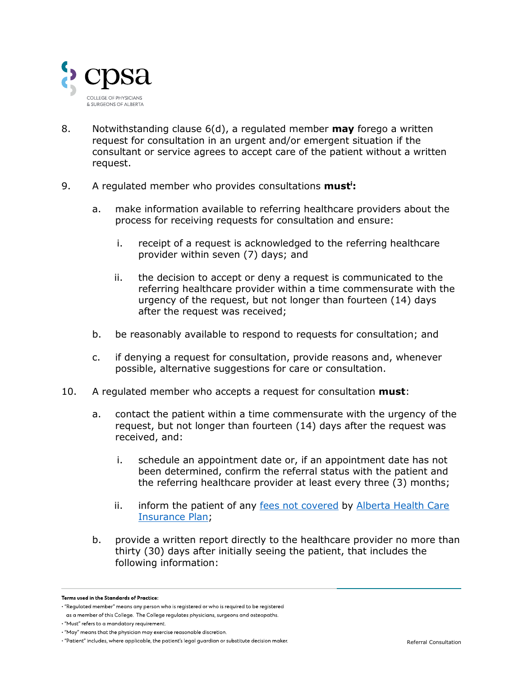

- 8. Notwithstanding clause 6(d), a regulated member **may** forego a written request for consultation in an urgent and/or emergent situation if the consultant or service agrees to accept care of the patient without a written request.
- 9. A regulated member who provides consultations **must<sup>i</sup> :**
	- a. make information available to referring healthcare providers about the process for receiving requests for consultation and ensure:
		- i. receipt of a request is acknowledged to the referring healthcare provider within seven (7) days; and
		- ii. the decision to accept or deny a request is communicated to the referring healthcare provider within a time commensurate with the urgency of the request, but not longer than fourteen (14) days after the request was received;
	- b. be reasonably available to respond to requests for consultation; and
	- c. if denying a request for consultation, provide reasons and, whenever possible, alternative suggestions for care or consultation.
- 10. A regulated member who accepts a request for consultation **must**:
	- a. contact the patient within a time commensurate with the urgency of the request, but not longer than fourteen (14) days after the request was received, and:
		- i. schedule an appointment date or, if an appointment date has not been determined, confirm the referral status with the patient and the referring healthcare provider at least every three (3) months;
		- ii. inform the patient of any [fees not covered](https://cpsa.ca/physicians/standards-of-practice/charging-for-uninsured-professional-services/) by Alberta Health Care [Insurance Plan;](https://www.alberta.ca/ahcip-what-is-covered.aspx)
	- b. provide a written report directly to the healthcare provider no more than thirty (30) days after initially seeing the patient, that includes the following information:

Terms used in the Standards of Practice:

<sup>· &</sup>quot;Regulated member" means any person who is registered or who is required to be registered

as a member of this College. The College regulates physicians, surgeons and osteopaths.

<sup>· &</sup>quot;Must" refers to a mandatory requirement.

<sup>• &</sup>quot;May" means that the physician may exercise reasonable discretion.

<sup>. &</sup>quot;Patient" includes, where applicable, the patient's legal quardian or substitute decision maker.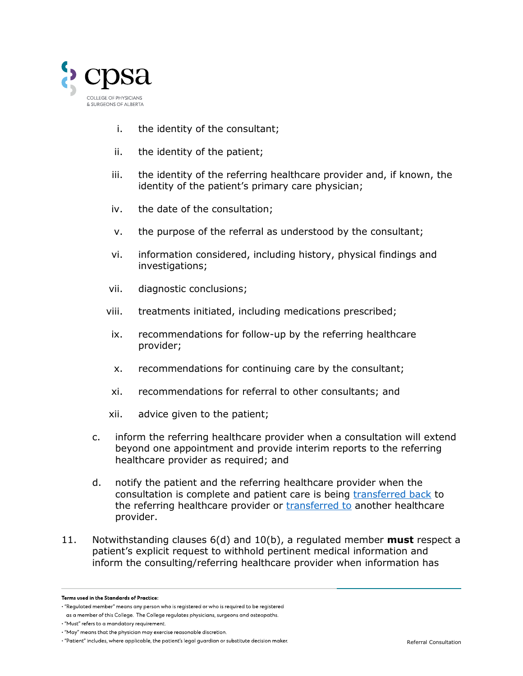

- i. the identity of the consultant;
- ii. the identity of the patient;
- iii. the identity of the referring healthcare provider and, if known, the identity of the patient's primary care physician;
- iv. the date of the consultation;
- v. the purpose of the referral as understood by the consultant;
- vi. information considered, including history, physical findings and investigations;
- vii. diagnostic conclusions;
- viii. treatments initiated, including medications prescribed;
- ix. recommendations for follow-up by the referring healthcare provider;
- x. recommendations for continuing care by the consultant;
- xi. recommendations for referral to other consultants; and
- xii. advice given to the patient;
- c. inform the referring healthcare provider when a consultation will extend beyond one appointment and provide interim reports to the referring healthcare provider as required; and
- d. notify the patient and the referring healthcare provider when the consultation is complete and patient care is being [transferred back](https://cpsa.ca/physicians/standards-of-practice/transfer-of-care/) to the referring healthcare provider or [transferred to](https://cpsa.ca/physicians/standards-of-practice/transfer-of-care/) another healthcare provider.
- 11. Notwithstanding clauses 6(d) and 10(b), a regulated member **must** respect a patient's explicit request to withhold pertinent medical information and inform the consulting/referring healthcare provider when information has

Terms used in the Standards of Practice:

<sup>• &</sup>quot;Regulated member" means any person who is registered or who is required to be registered

as a member of this College. The College regulates physicians, surgeons and osteopaths.

<sup>· &</sup>quot;Must" refers to a mandatory requirement.

<sup>• &</sup>quot;May" means that the physician may exercise reasonable discretion.

<sup>. &</sup>quot;Patient" includes, where applicable, the patient's legal quardian or substitute decision maker.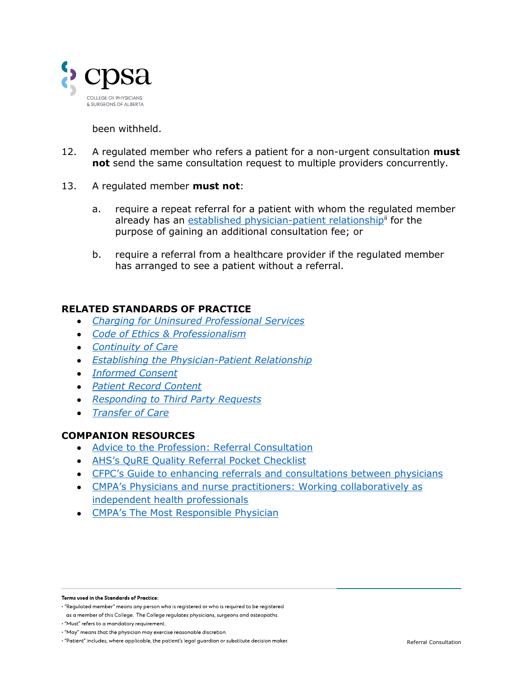

#### been withheld.

- 12. A regulated member who refers a patient for a non-urgent consultation **must not** send the same consultation request to multiple providers concurrently.
- 13. A regulated member **must not**:
	- a. require a repeat referral for a patient with whom the regulated member already has an [established physician-patient relationship](https://cpsa.ca/physicians/standards-of-practice/establishing-the-physician-patient-relationship/)<sup>ii</sup> for the purpose of gaining an additional consultation fee; or
	- b. require a referral from a healthcare provider if the regulated member has arranged to see a patient without a referral.

### **RELATED STANDARDS OF PRACTICE**

- *[Charging for Uninsured Professional Services](https://cpsa.ca/physicians/standards-of-practice/charging-for-uninsured-professional-services/)*
- *[Code of Ethics & Professionalism](https://cpsa.ca/physicians/standards-of-practice/code-of-ethics/)*
- *[Continuity of Care](https://cpsa.ca/physicians/standards-of-practice/continuity-of-care/)*
- *[Establishing the Physician-Patient Relationship](https://cpsa.ca/physicians/standards-of-practice/establishing-the-physician-patient-relationship/)*
- *[Informed Consent](https://cpsa.ca/physicians/standards-of-practice/informed-consent/)*
- *[Patient Record Content](https://cpsa.ca/physicians/standards-of-practice/patient-record-content/)*
- *[Responding to Third Party Requests](https://cpsa.ca/physicians/standards-of-practice/responding-to-third-party-requests/)*
- *[Transfer of Care](https://cpsa.ca/physicians/standards-of-practice/transfer-of-care/)*

#### **COMPANION RESOURCES**

- [Advice to the Profession: Referral Consultation](https://cpsa.ca/wp-content/uploads/2020/06/AP_Referral-Consultation.pdf)
- AHS's Q[uRE Quality Referral Pocket Checklist](https://www.albertahealthservices.ca/assets/info/hp/arp/if-hp-arp-qure-digital-checklist.pdf)
- [CFPC's Guide to enhancing referrals and consultations between physicians](https://www.royalcollege.ca/rcsite/documents/membership/referrals-consultation-guide-e.pdf)
- [CMPA's Physicians and nurse practitioners: Working collaboratively as](https://www.albertadoctors.org/Working-collaboratively-for-better-patient-care)  [independent health professionals](https://www.albertadoctors.org/Working-collaboratively-for-better-patient-care)
- **[CMPA's The Most Responsible Physician](https://www.cmpa-acpm.ca/en/advice-publications/browse-articles/2019/who-is-the-most-responsible-physician-check-your-knowledge)**

Terms used in the Standards of Practice:

<sup>· &</sup>quot;Regulated member" means any person who is registered or who is required to be registered

as a member of this College. The College regulates physicians, surgeons and osteopaths.

<sup>· &</sup>quot;Must" refers to a mandatory requirement.

<sup>• &</sup>quot;May" means that the physician may exercise reasonable discretion.

<sup>· &</sup>quot;Patient" includes, where applicable, the patient's legal guardian or substitute decision maker.